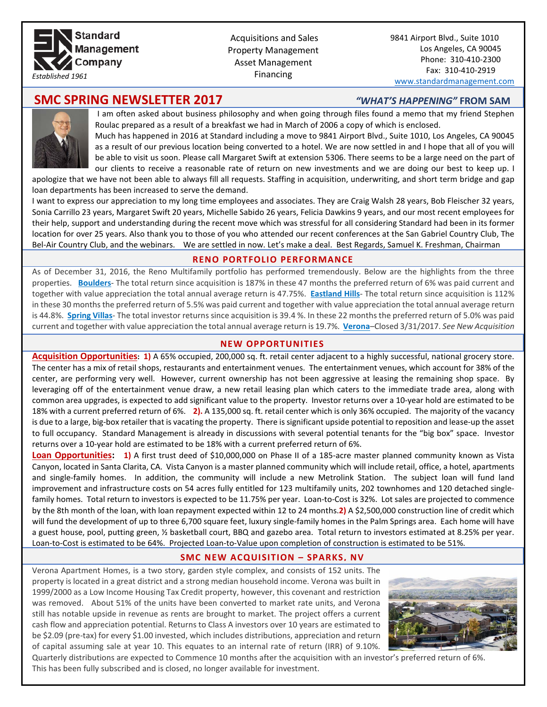

 Acquisitions and Sales Property Management Asset Management Financing

9841 Airport Blvd., Suite 1010 Los Angeles, CA 90045 Phone: 310-410-2300 Fax: 310-410-2919

[www.standardmanagement.com](http://www.standardmanagement.com/)

# **SMC SPRING NEWSLETTER 2017** *"WHAT'S HAPPENING"* FROM SAM



I am often asked about business philosophy and when going through files found a memo that my friend Stephen Roulac prepared as a result of a breakfast we had in March of 2006 a copy of which is enclosed. Much has happened in 2016 at Standard including a move to 9841 Airport Blvd., Suite 1010, Los Angeles, CA 90045

as a result of our previous location being converted to a hotel. We are now settled in and I hope that all of you will be able to visit us soon. Please call Margaret Swift at extension 5306. There seems to be a large need on the part of our clients to receive a reasonable rate of return on new investments and we are doing our best to keep up. I

apologize that we have not been able to always fill all requests. Staffing in acquisition, underwriting, and short term bridge and gap loan departments has been increased to serve the demand.

I want to express our appreciation to my long time employees and associates. They are Craig Walsh 28 years, Bob Fleischer 32 years, Sonia Carrillo 23 years, Margaret Swift 20 years, Michelle Sabido 26 years, Felicia Dawkins 9 years, and our most recent employees for their help, support and understanding during the recent move which was stressful for all considering Standard had been in its former location for over 25 years. Also thank you to those of you who attended our recent conferences at the San Gabriel Country Club, The Bel-Air Country Club, and the webinars. We are settled in now. Let's make a deal. Best Regards, Samuel K. Freshman, Chairman

# **RENO PORTFOLIO PERFORMANCE**

As of December 31, 2016, the Reno Multifamily portfolio has performed tremendously. Below are the highlights from the three properties. **Boulders**- The total return since acquisition is 187% in these 47 months the preferred return of 6% was paid current and together with value appreciation the total annual average return is 47.75%. **Eastland Hills**- The total return since acquisition is 112% in these 30 months the preferred return of 5.5% was paid current and together with value appreciation the total annual average return is 44.8%. **Spring Villas**- The total investor returns since acquisition is 39.4 %. In these 22 months the preferred return of 5.0% was paid current and together with value appreciation the total annual average return is 19.7%. **Verona**–Closed 3/31/2017. *See New Acquisition*

# **NEW OPPORTUNITIES**

**Acquisition Opportunities: 1)** A 65% occupied, 200,000 sq. ft. retail center adjacent to a highly successful, national grocery store. The center has a mix of retail shops, restaurants and entertainment venues. The entertainment venues, which account for 38% of the center, are performing very well. However, current ownership has not been aggressive at leasing the remaining shop space. By leveraging off of the entertainment venue draw, a new retail leasing plan which caters to the immediate trade area, along with common area upgrades, is expected to add significant value to the property. Investor returns over a 10-year hold are estimated to be 18% with a current preferred return of 6%. **2).** A 135,000 sq. ft. retail center which is only 36% occupied. The majority of the vacancy is due to a large, big-box retailer that is vacating the property. There is significant upside potential to reposition and lease-up the asset to full occupancy. Standard Management is already in discussions with several potential tenants for the "big box" space. Investor returns over a 10-year hold are estimated to be 18% with a current preferred return of 6%.

Loan Opportunities: 1) A first trust deed of \$10,000,000 on Phase II of a 185-acre master planned community known as Vista Canyon, located in Santa Clarita, CA. Vista Canyon is a master planned community which will include retail, office, a hotel, apartments and single-family homes. In addition, the community will include a new Metrolink Station. The subject loan will fund land improvement and infrastructure costs on 54 acres fully entitled for 123 multifamily units, 202 townhomes and 120 detached singlefamily homes. Total return to investors is expected to be 11.75% per year. Loan-to-Cost is 32%. Lot sales are projected to commence by the 8th month of the loan, with loan repayment expected within 12 to 24 months.**2)** A \$2,500,000 construction line of credit which will fund the development of up to three 6,700 square feet, luxury single-family homes in the Palm Springs area. Each home will have a guest house, pool, putting green, ½ basketball court, BBQ and gazebo area. Total return to investors estimated at 8.25% per year. Loan-to-Cost is estimated to be 64%. Projected Loan-to-Value upon completion of construction is estimated to be 51%.

# **SMC NEW ACQUISITION – SPARKS, NV**

Verona Apartment Homes, is a two story, garden style complex, and consists of 152 units. The property is located in a great district and a strong median household income. Verona was built in 1999/2000 as a Low Income Housing Tax Credit property, however, this covenant and restriction was removed. About 51% of the units have been converted to market rate units, and Verona still has notable upside in revenue as rents are brought to market. The project offers a current cash flow and appreciation potential. Returns to Class A investors over 10 years are estimated to be \$2.09 (pre-tax) for every \$1.00 invested, which includes distributions, appreciation and return of capital assuming sale at year 10. This equates to an internal rate of return (IRR) of 9.10%.



Quarterly distributions are expected to Commence 10 months after the acquisition with an investor's preferred return of 6%. This has been fully subscribed and is closed, no longer available for investment.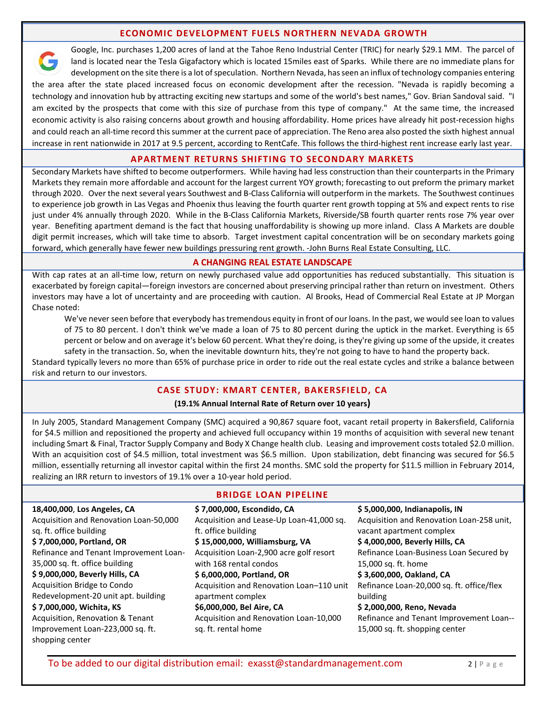# **ECONOMIC DEVELOPMENT FUELS NORTHERN NEVADA GROWTH**

Google, Inc. purchases 1,200 acres of land at the Tahoe Reno Industrial Center (TRIC) for nearly \$29.1 MM. The parcel of land is located near the Tesla Gigafactory which is located 15miles east of Sparks. While there are no immediate plans for development on the site there is a lot of speculation. Northern Nevada, has seen an influx of technology companies entering the area after the state placed increased focus on economic development after the recession. "Nevada is rapidly becoming a technology and innovation hub by attracting exciting new startups and some of the world's best names," Gov. Brian Sandoval said. "I am excited by the prospects that come with this size of purchase from this type of company." At the same time, the increased economic activity is also raising concerns about growth and housing affordability. Home prices have already hit post-recession highs and could reach an all-time record this summer at the current pace of appreciation. The Reno area also posted the sixth highest annual increase in rent nationwide in 2017 at 9.5 percent, according to RentCafe. This follows the third-highest rent increase early last year.

## **APARTMENT RETURNS SHIFTING TO SECONDARY MARKETS**

Secondary Markets have shifted to become outperformers. While having had less construction than their counterparts in the Primary Markets they remain more affordable and account for the largest current YOY growth; forecasting to out preform the primary market through 2020. Over the next several years Southwest and B-Class California will outperform in the markets. The Southwest continues to experience job growth in Las Vegas and Phoenix thus leaving the fourth quarter rent growth topping at 5% and expect rents to rise just under 4% annually through 2020. While in the B-Class California Markets, Riverside/SB fourth quarter rents rose 7% year over year. Benefiting apartment demand is the fact that housing unaffordability is showing up more inland. Class A Markets are double digit permit increases, which will take time to absorb. Target investment capital concentration will be on secondary markets going forward, which generally have fewer new buildings pressuring rent growth. -John Burns Real Estate Consulting, LLC.

### **A CHANGING REAL ESTATE LANDSCAPE**

With cap rates at an all-time low, return on newly purchased value add opportunities has reduced substantially. This situation is exacerbated by foreign capital—foreign investors are concerned about preserving principal rather than return on investment. Others investors may have a lot of uncertainty and are proceeding with caution. Al Brooks, Head of Commercial Real Estate at JP Morgan Chase noted:

We've never seen before that everybody has tremendous equity in front of our loans. In the past, we would see loan to values of 75 to 80 percent. I don't think we've made a loan of 75 to 80 percent during the uptick in the market. Everything is 65 percent or below and on average it's below 60 percent. What they're doing, is they're giving up some of the upside, it creates safety in the transaction. So, when the inevitable downturn hits, they're not going to have to hand the property back.

Standard typically levers no more than 65% of purchase price in order to ride out the real estate cycles and strike a balance between risk and return to our investors.

### **CASE STUDY: KMART CENTER, BAKERSFIELD, CA**

#### **(19.1% Annual Internal Rate of Return over 10 years)**

In July 2005, Standard Management Company (SMC) acquired a 90,867 square foot, vacant retail property in Bakersfield, California for \$4.5 million and repositioned the property and achieved full occupancy within 19 months of acquisition with several new tenant including Smart & Final, Tractor Supply Company and Body X Change health club. Leasing and improvement costs totaled \$2.0 million. With an acquisition cost of \$4.5 million, total investment was \$6.5 million. Upon stabilization, debt financing was secured for \$6.5 million, essentially returning all investor capital within the first 24 months. SMC sold the property for \$11.5 million in February 2014, realizing an IRR return to investors of 19.1% over a 10-year hold period.

| 18,400,000, Los Angeles, CA<br>Acquisition and Renovation Loan-50,000<br>sq. ft. office building<br>\$7,000,000, Portland, OR<br>Refinance and Tenant Improvement Loan-<br>35,000 sq. ft. office building<br>\$9,000,000, Beverly Hills, CA<br>Acquisition Bridge to Condo<br>Redevelopment-20 unit apt. building<br>\$7,000,000, Wichita, KS | \$7,000,000, Escondido, CA<br>Acquisition and Lease-Up Loan-41,000 sq.<br>ft. office building<br>\$15,000,000, Williamsburg, VA<br>Acquisition Loan-2,900 acre golf resort<br>with 168 rental condos<br>\$6,000,000, Portland, OR<br>Acquisition and Renovation Loan-110 unit<br>apartment complex<br>\$6,000,000, Bel Aire, CA | \$5,000,000, Indianapolis, IN<br>Acquisition and Renovation Loan-258 unit,<br>vacant apartment complex<br>\$4,000,000, Beverly Hills, CA<br>Refinance Loan-Business Loan Secured by<br>15,000 sq. ft. home<br>\$3,600,000, Oakland, CA<br>Refinance Loan-20,000 sq. ft. office/flex<br>building<br>\$2,000,000, Reno, Nevada |
|-----------------------------------------------------------------------------------------------------------------------------------------------------------------------------------------------------------------------------------------------------------------------------------------------------------------------------------------------|---------------------------------------------------------------------------------------------------------------------------------------------------------------------------------------------------------------------------------------------------------------------------------------------------------------------------------|------------------------------------------------------------------------------------------------------------------------------------------------------------------------------------------------------------------------------------------------------------------------------------------------------------------------------|
| Acquisition, Renovation & Tenant<br>Improvement Loan-223,000 sq. ft.<br>shopping center                                                                                                                                                                                                                                                       | Acquisition and Renovation Loan-10,000<br>sq. ft. rental home                                                                                                                                                                                                                                                                   | Refinance and Tenant Improvement Loan--<br>15,000 sq. ft. shopping center                                                                                                                                                                                                                                                    |
|                                                                                                                                                                                                                                                                                                                                               |                                                                                                                                                                                                                                                                                                                                 |                                                                                                                                                                                                                                                                                                                              |

# **BRIDGE LOAN PIPELINE**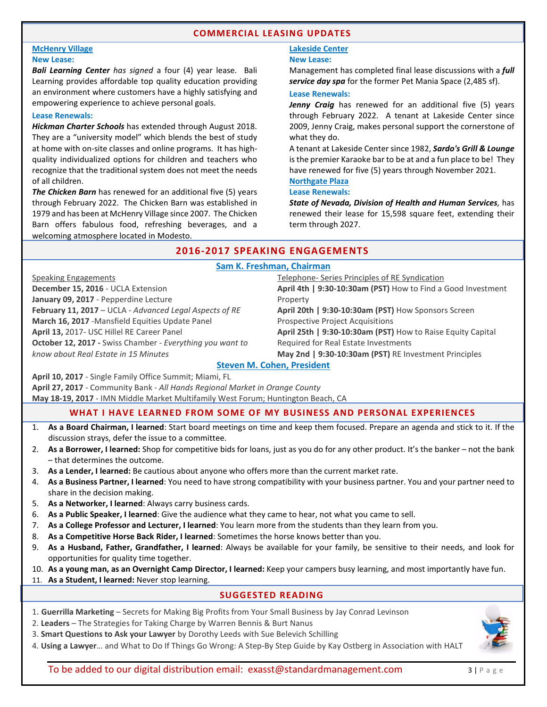## **COMMERCIAL LEASING UPDATES**

#### **McHenry Village New Lease:**

*Bali Learning Center has signed* a four (4) year lease. Bali Learning provides affordable top quality education providing an environment where customers have a highly satisfying and empowering experience to achieve personal goals.

#### **Lease Renewals:**

*Hickman Charter Schools* has extended through August 2018. They are a "university model" which blends the best of study at home with on-site classes and online programs. It has highquality individualized options for children and teachers who recognize that the traditional system does not meet the needs of all children.

*The Chicken Barn* has renewed for an additional five (5) years through February 2022. The Chicken Barn was established in 1979 and has been at McHenry Village since 2007. The Chicken Barn offers fabulous food, refreshing beverages, and a welcoming atmosphere located in Modesto.

# **Lakeside Center**

#### **New Lease:**

Management has completed final lease discussions with a *full service day spa* for the former Pet Mania Space (2,485 sf).

#### **Lease Renewals:**

Jenny Craig has renewed for an additional five (5) years through February 2022. A tenant at Lakeside Center since 2009, Jenny Craig, make[s personal support](http://www.jennycraig.com/site/the-consultant/) the cornerstone of what they do.

A tenant at Lakeside Center since 1982, *Sardo's Grill & Lounge* is the premier Karaoke bar to be at and a fun place to be! They have renewed for five (5) years through November 2021.

## **Northgate Plaza**

#### **Lease Renewals:**

*State of Nevada, Division of Health and Human Services,* has renewed their lease for 15,598 square feet, extending their term through 2027.

# **2016-2017 SPEAKING ENGAGEMENTS**

#### **Sam K. Freshman, Chairman**

| Speaking Engagements                                      | Telephone- Series Principles of RE Syndication               |  |  |
|-----------------------------------------------------------|--------------------------------------------------------------|--|--|
| December 15, 2016 - UCLA Extension                        | April 4th   9:30-10:30am (PST) How to Find a Good Investment |  |  |
| January 09, 2017 - Pepperdine Lecture                     | Property                                                     |  |  |
| February 11, 2017 - UCLA - Advanced Legal Aspects of RE   | April 20th   9:30-10:30am (PST) How Sponsors Screen          |  |  |
| March 16, 2017 -Mansfield Equities Update Panel           | <b>Prospective Project Acquisitions</b>                      |  |  |
| April 13, 2017- USC Hillel RE Career Panel                | April 25th   9:30-10:30am (PST) How to Raise Equity Capital  |  |  |
| October 12, 2017 - Swiss Chamber - Everything you want to | Required for Real Estate Investments                         |  |  |
| know about Real Estate in 15 Minutes                      | May 2nd   9:30-10:30am (PST) RE Investment Principles        |  |  |
| <b>Steven M. Cohen, President</b>                         |                                                              |  |  |

**April 10, 2017** - Single Family Office Summit; Miami, FL

**April 27, 2017** - Community Bank - *All Hands Regional Market in Orange County*

**May 18-19, 2017** - IMN Middle Market Multifamily West Forum; Huntington Beach, CA

# **WHAT I HAVE LEARNED FROM SOME OF MY BUSINESS AND PERSONAL EXPERIENCES**

- 1. **As a Board Chairman, I learned**: Start board meetings on time and keep them focused. Prepare an agenda and stick to it. If the discussion strays, defer the issue to a committee.
- 2. **As a Borrower, I learned:** Shop for competitive bids for loans, just as you do for any other product. It's the banker not the bank – that determines the outcome.
- 3. **As a Lender, I learned:** Be cautious about anyone who offers more than the current market rate.
- 4. **As a Business Partner, I learned**: You need to have strong compatibility with your business partner. You and your partner need to share in the decision making.
- 5. **As a Networker, I learned**: Always carry business cards.
- 6. **As a Public Speaker, I learned**: Give the audience what they came to hear, not what you came to sell.
- 7. **As a College Professor and Lecturer, I learned**: You learn more from the students than they learn from you.
- 8. **As a Competitive Horse Back Rider, I learned**: Sometimes the horse knows better than you.
- 9. **As a Husband, Father, Grandfather, I learned**: Always be available for your family, be sensitive to their needs, and look for opportunities for quality time together.
- 10. **As a young man, as an Overnight Camp Director, I learned:** Keep your campers busy learning, and most importantly have fun.
- 11. **As a Student, I learned:** Never stop learning.

### **SUGGESTED READING**

- 1. **Guerrilla Marketing** Secrets for Making Big Profits from Your Small Business by Jay Conrad Levinson
- 2. **Leaders** The Strategies for Taking Charge by Warren Bennis & Burt Nanus
- 3. **Smart Questions to Ask your Lawyer** by Dorothy Leeds with Sue Belevich Schilling
- 4. **Using a Lawyer**… and What to Do If Things Go Wrong: A Step-By Step Guide by Kay Ostberg in Association with HALT



To be added to our digital distribution email: exasst@standardmanagement.com  $\begin{array}{c}3 | P a g e\end{array}$